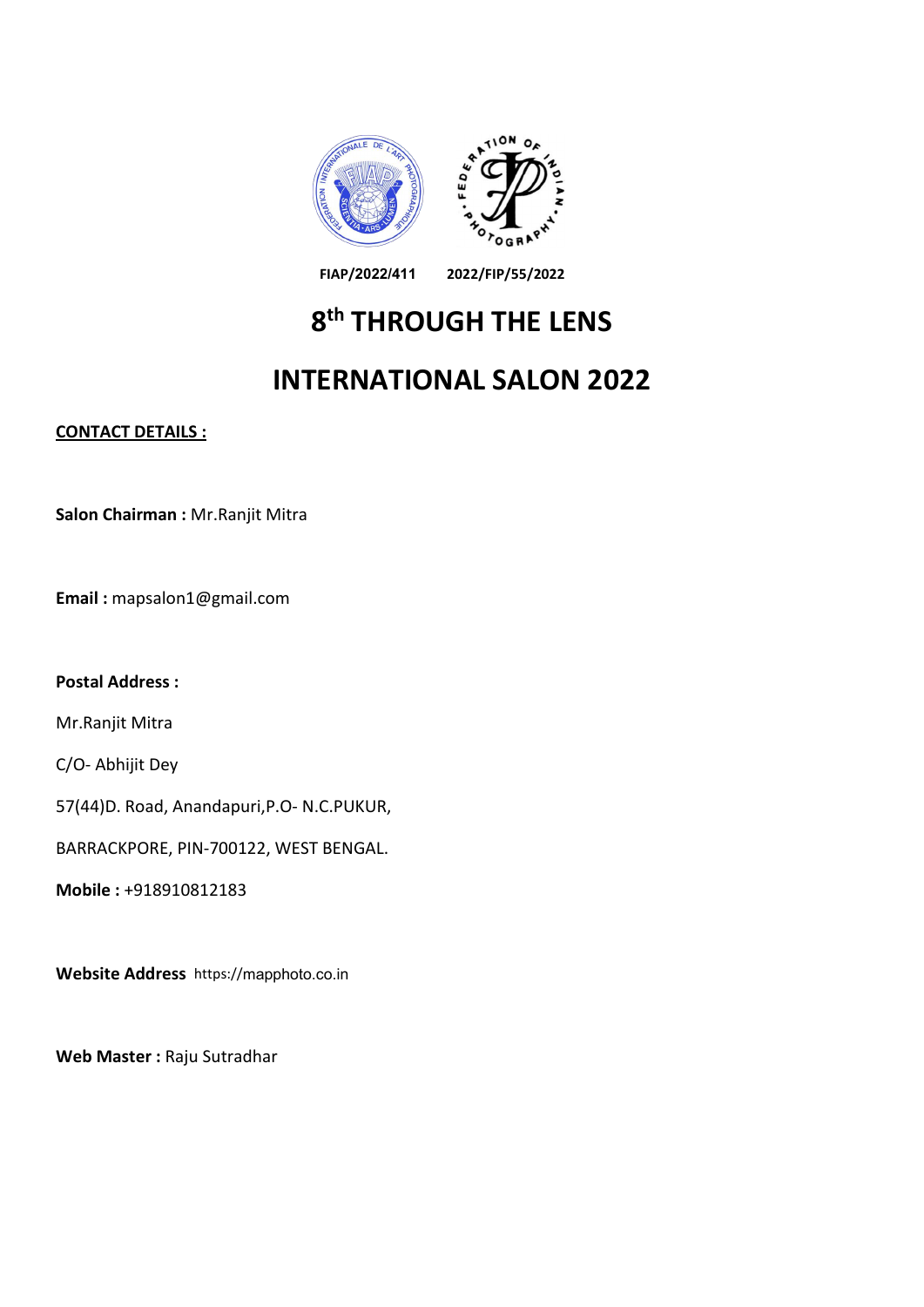



**FIAP/2022/411 2022/FIP/55/2022**

# **8 th THROUGH THE LENS**

## **INTERNATIONAL SALON 2022**

**CONTACT DETAILS :**

**Salon Chairman :** Mr.Ranjit Mitra

**Email :** mapsalon1@gmail.com

**Postal Address :**

Mr.Ranjit Mitra

C/O- Abhijit Dey

57(44)D. Road, Anandapuri,P.O- N.C.PUKUR,

BARRACKPORE, PIN-700122, WEST BENGAL.

**Mobile :** +918910812183

**Website Address** https://mapphoto.co.in

**Web Master :** Raju Sutradhar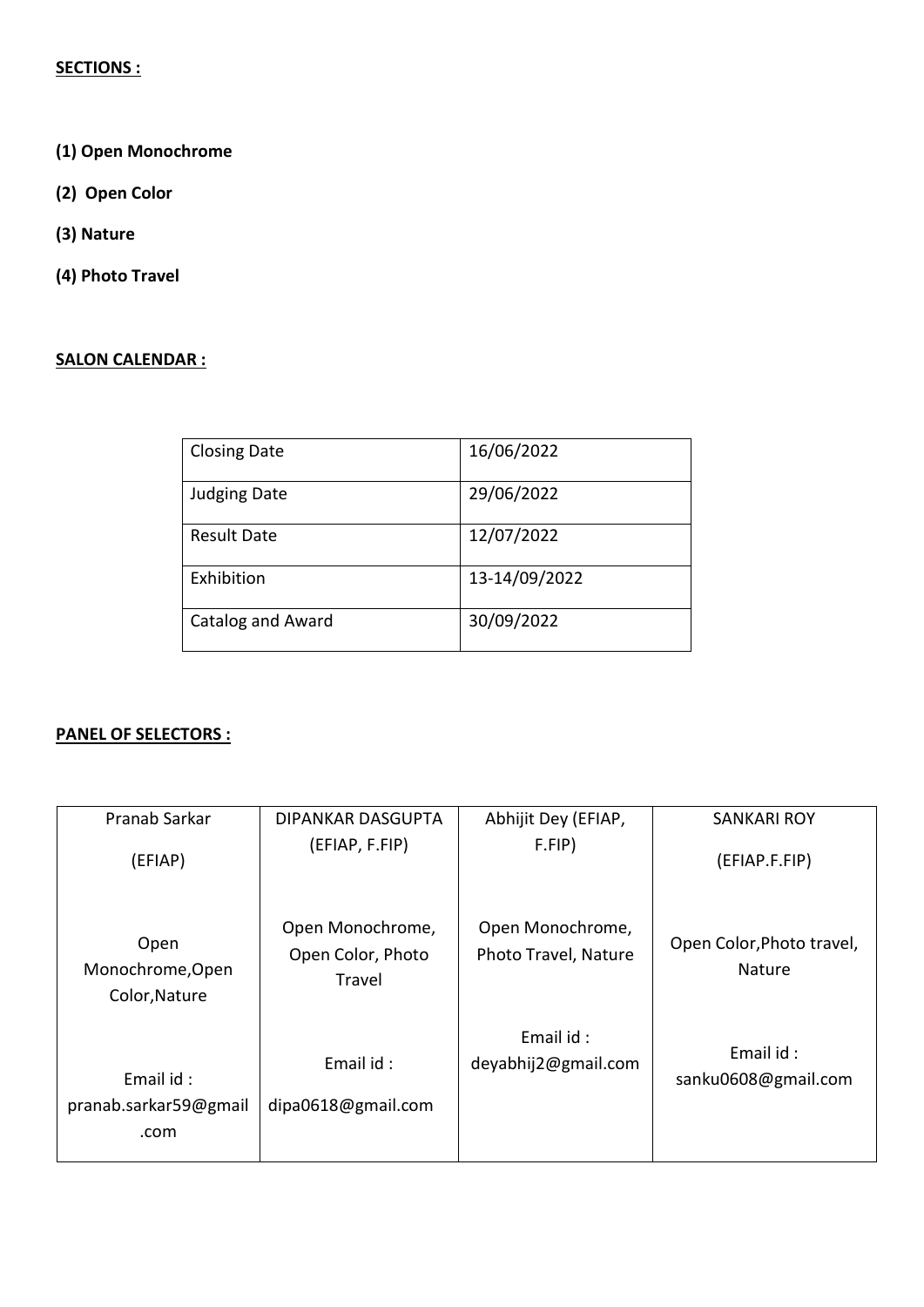### **SECTIONS :**

- **(1) Open Monochrome**
- **(2) Open Color**
- **(3) Nature**
- **(4) Photo Travel**

### **SALON CALENDAR :**

| <b>Closing Date</b>      | 16/06/2022    |  |
|--------------------------|---------------|--|
| <b>Judging Date</b>      | 29/06/2022    |  |
| <b>Result Date</b>       | 12/07/2022    |  |
| Exhibition               | 13-14/09/2022 |  |
| <b>Catalog and Award</b> | 30/09/2022    |  |

### **PANEL OF SELECTORS :**

| Pranab Sarkar                              | <b>DIPANKAR DASGUPTA</b>                        | Abhijit Dey (EFIAP,                      | <b>SANKARI ROY</b>                  |  |
|--------------------------------------------|-------------------------------------------------|------------------------------------------|-------------------------------------|--|
| (EFIAP)                                    | (EFIAP, F.FIP)                                  | F.FIP                                    | (EFIAP.F.FIP)                       |  |
| Open<br>Monochrome, Open<br>Color, Nature  | Open Monochrome,<br>Open Color, Photo<br>Travel | Open Monochrome,<br>Photo Travel, Nature | Open Color, Photo travel,<br>Nature |  |
| Email id:<br>pranab.sarkar59@gmail<br>.com | Email id:<br>dipa0618@gmail.com                 | Email id:<br>deyabhij2@gmail.com         | Email id:<br>sanku0608@gmail.com    |  |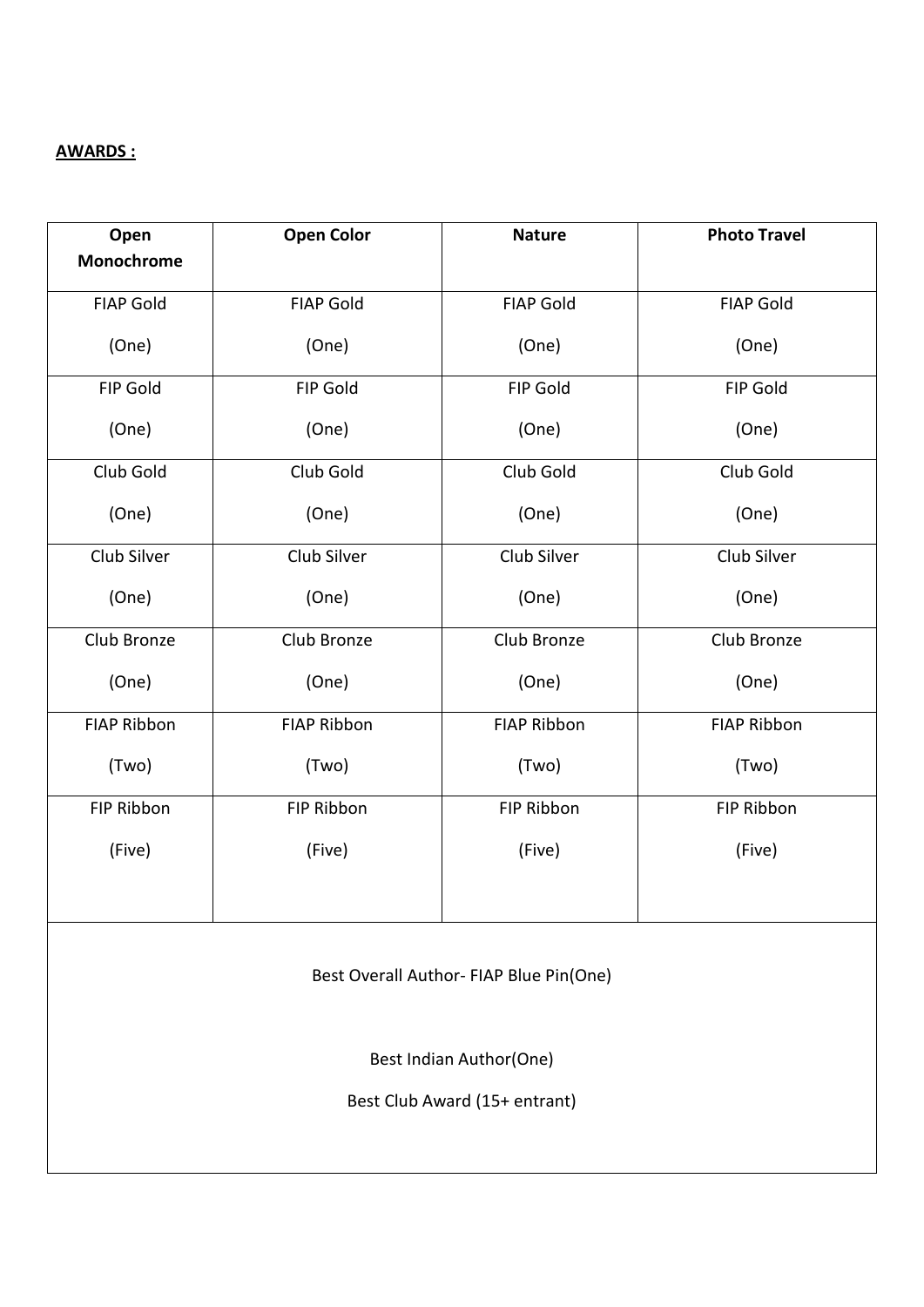## **AWARDS :**

| Open                          | <b>Open Color</b> | <b>Nature</b>                           | <b>Photo Travel</b> |  |  |  |
|-------------------------------|-------------------|-----------------------------------------|---------------------|--|--|--|
| Monochrome                    |                   |                                         |                     |  |  |  |
| <b>FIAP Gold</b>              | <b>FIAP Gold</b>  | <b>FIAP Gold</b>                        | <b>FIAP Gold</b>    |  |  |  |
| (One)                         | (One)             | (One)                                   | (One)               |  |  |  |
| FIP Gold                      | FIP Gold          | FIP Gold                                | FIP Gold            |  |  |  |
| (One)                         | (One)             | (One)                                   | (One)               |  |  |  |
| Club Gold                     | Club Gold         | Club Gold                               | Club Gold           |  |  |  |
| (One)                         | (One)             | (One)                                   | (One)               |  |  |  |
| Club Silver                   | Club Silver       | Club Silver                             | Club Silver         |  |  |  |
| (One)                         | (One)             | (One)                                   | (One)               |  |  |  |
| Club Bronze                   | Club Bronze       | Club Bronze                             | Club Bronze         |  |  |  |
| (One)                         | (One)             | (One)                                   | (One)               |  |  |  |
| <b>FIAP Ribbon</b>            | FIAP Ribbon       | FIAP Ribbon                             | <b>FIAP Ribbon</b>  |  |  |  |
| (Two)                         | (Two)             | (Two)                                   | (Two)               |  |  |  |
| FIP Ribbon                    | FIP Ribbon        | FIP Ribbon                              | FIP Ribbon          |  |  |  |
| (Five)                        | (Five)            | (Five)                                  | (Five)              |  |  |  |
|                               |                   |                                         |                     |  |  |  |
|                               |                   | Best Overall Author- FIAP Blue Pin(One) |                     |  |  |  |
|                               |                   |                                         |                     |  |  |  |
|                               |                   | Best Indian Author(One)                 |                     |  |  |  |
| Best Club Award (15+ entrant) |                   |                                         |                     |  |  |  |
|                               |                   |                                         |                     |  |  |  |
|                               |                   |                                         |                     |  |  |  |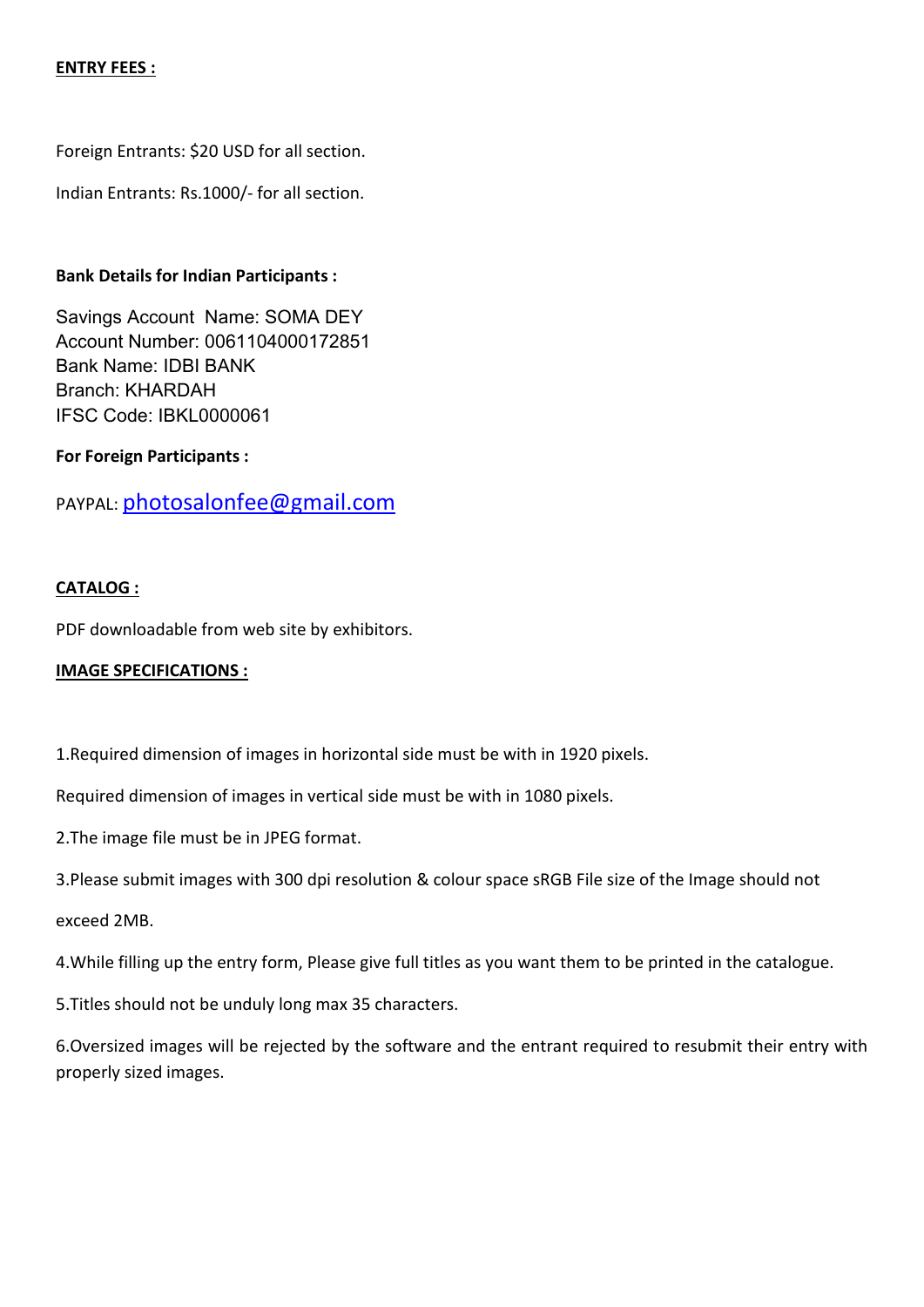#### **ENTRY FEES :**

Foreign Entrants: \$20 USD for all section.

Indian Entrants: Rs.1000/- for all section.

#### **Bank Details for Indian Participants :**

Savings Account Name: SOMA DEY Account Number: 0061104000172851 Bank Name: IDBI BANK Branch: KHARDAH IFSC Code: IBKL0000061

**For Foreign Participants :**

PAYPAL: [photosalonfee@gmail.com](mailto:deyabhij@gmail.com)

#### **CATALOG :**

PDF downloadable from web site by exhibitors.

#### **IMAGE SPECIFICATIONS :**

1.Required dimension of images in horizontal side must be with in 1920 pixels.

Required dimension of images in vertical side must be with in 1080 pixels.

2.The image file must be in JPEG format.

3. Please submit images with 300 dpi resolution & colour space sRGB File size of the Image should not

exceed 2MB.

4.While filling up the entry form, Please give full titles as you want them to be printed in the catalogue.

5.Titles should not be unduly long max 35 characters.

6.Oversized images will be rejected by the software and the entrant required to resubmit their entry with properly sized images.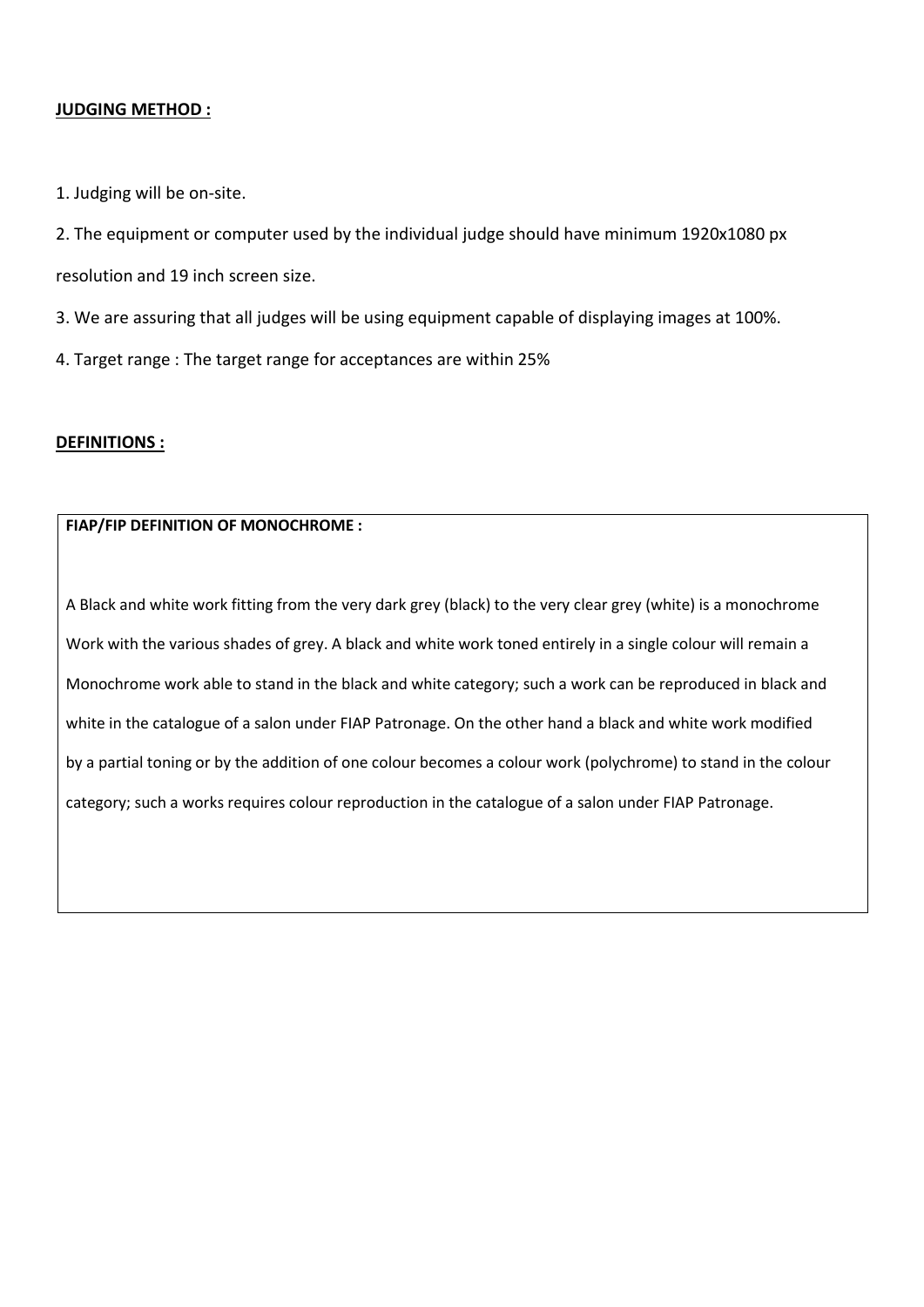#### **JUDGING METHOD :**

1. Judging will be on-site.

2. The equipment or computer used by the individual judge should have minimum 1920x1080 px resolution and 19 inch screen size.

- 3. We are assuring that all judges will be using equipment capable of displaying images at 100%.
- 4. Target range : The target range for acceptances are within 25%

#### **DEFINITIONS :**

#### **FIAP/FIP DEFINITION OF MONOCHROME :**

A Blackand white work fitting from the very dark grey (black) to the very clear grey (white) is a monochrome Work with the various shades of grey. A black and white work toned entirely in a single colour will remain a Monochrome work able to stand in the black and white category; such a work can be reproduced in black and white in the catalogue of a salon under FIAP Patronage. On the other hand a black and white work modified by a partial toning or by the addition of one colour becomes a colour work (polychrome) to stand in the colour category; such a works requires colour reproduction in the catalogue of a salon under FIAP Patronage.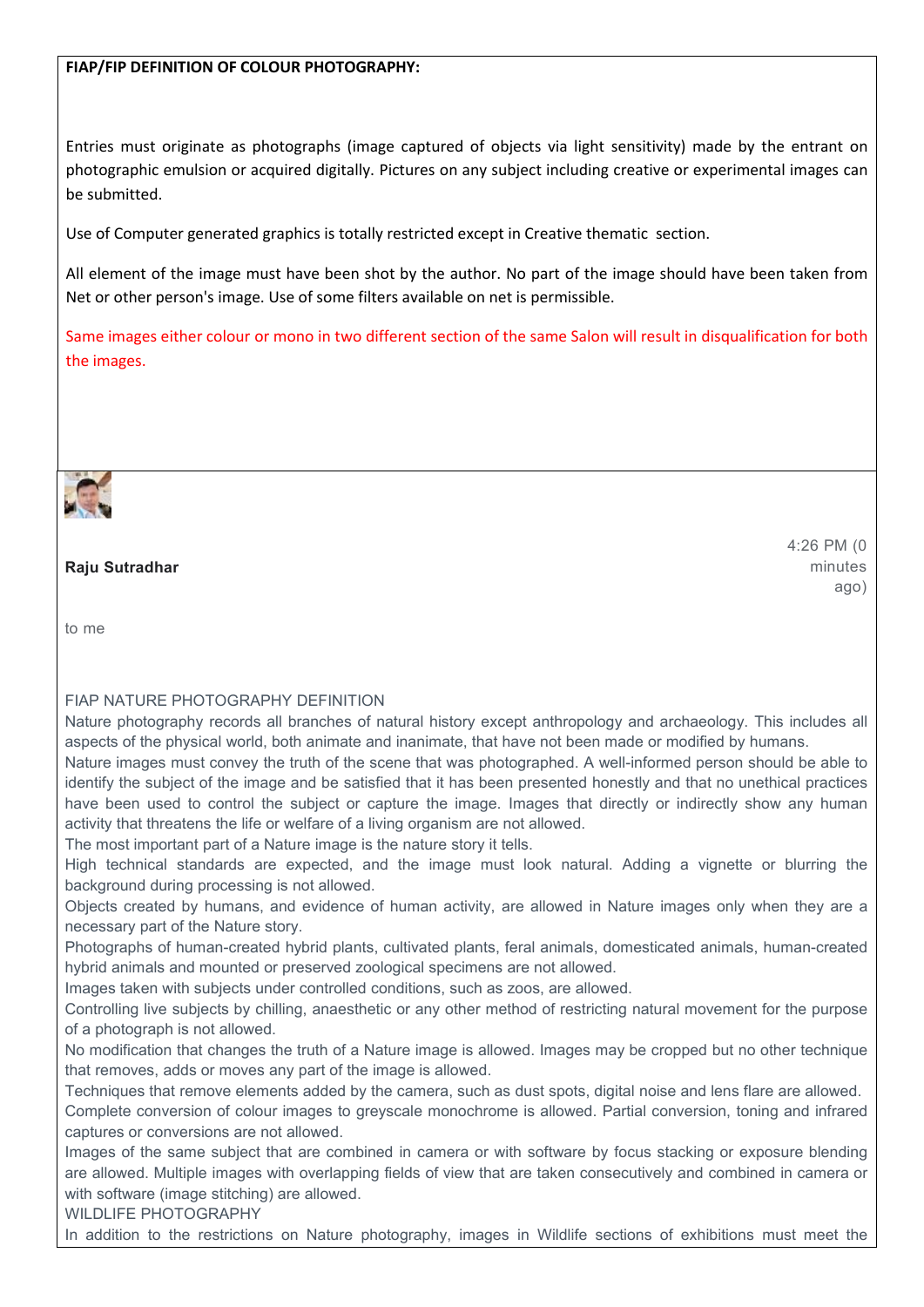#### **FIAP/FIP DEFINITION OF COLOUR PHOTOGRAPHY:**

Entries must originate as photographs (image captured of objects via light sensitivity) made by the entrant on photographic emulsion or acquired digitally. Pictures on any subject including creative or experimental images can be submitted.<br>Use of Computer generated graphics is totally restricted except in Creative thematic section.

All element of the image must have been shot by the author. No part of the image should have been taken from Net or other person's image. Use of some filters available on net is permissible.

Same images either colour or mono in two different section of the same Salon will result in disqualification for both the images.



#### **Raju Sutradhar**

to me

FIAP NATURE PHOTOGRAPHY DEFINITION

Nature photography records all branches of natural history except anthropology and archaeology. This includes all aspects of the physical world, both animate and inanimate, that have not been made or modified by humans.

Nature images must convey the truth of the scene that was photographed. A well-informed person should be able to identify the subject of the image and be satisfied that it has been presented honestly and that no unethical practices have been used to control the subject or capture the image. Images that directly or indirectly show any human activity that threatens the life or welfare of a living organism are not allowed.

The most important part of a Nature image is the nature story it tells.

High technical standards are expected, and the image must look natural. Adding a vignette or blurring the background during processing is not allowed.

Objects created by humans, and evidence of human activity, are allowed in Nature images only when they are a necessary part of the Nature story.

Photographs of human-created hybrid plants, cultivated plants, feral animals, domesticated animals, human-created hybrid animals and mounted or preserved zoological specimens are not allowed.

Images taken with subjects under controlled conditions, such as zoos, are allowed.

Controlling live subjects by chilling, anaesthetic or any other method of restricting natural movement for the purpose of a photograph is not allowed.

No modification that changes the truth of a Nature image is allowed. Images may be cropped but no other technique that removes, adds or moves any part of the image is allowed.

Techniques that remove elements added by the camera, such as dust spots, digital noise and lens flare are allowed. Complete conversion of colour images to greyscale monochrome is allowed. Partial conversion, toning and infrared captures or conversions are not allowed.

Images of the same subject that are combined in camera or with software by focus stacking or exposure blending are allowed. Multiple images with overlapping fields of view that are taken consecutively and combined in camera or with software (image stitching) are allowed.

WILDLIFE PHOTOGRAPHY

In addition to the restrictions on Nature photography, images in Wildlife sections of exhibitions must meet the

4:26 PM (0 minutes ago)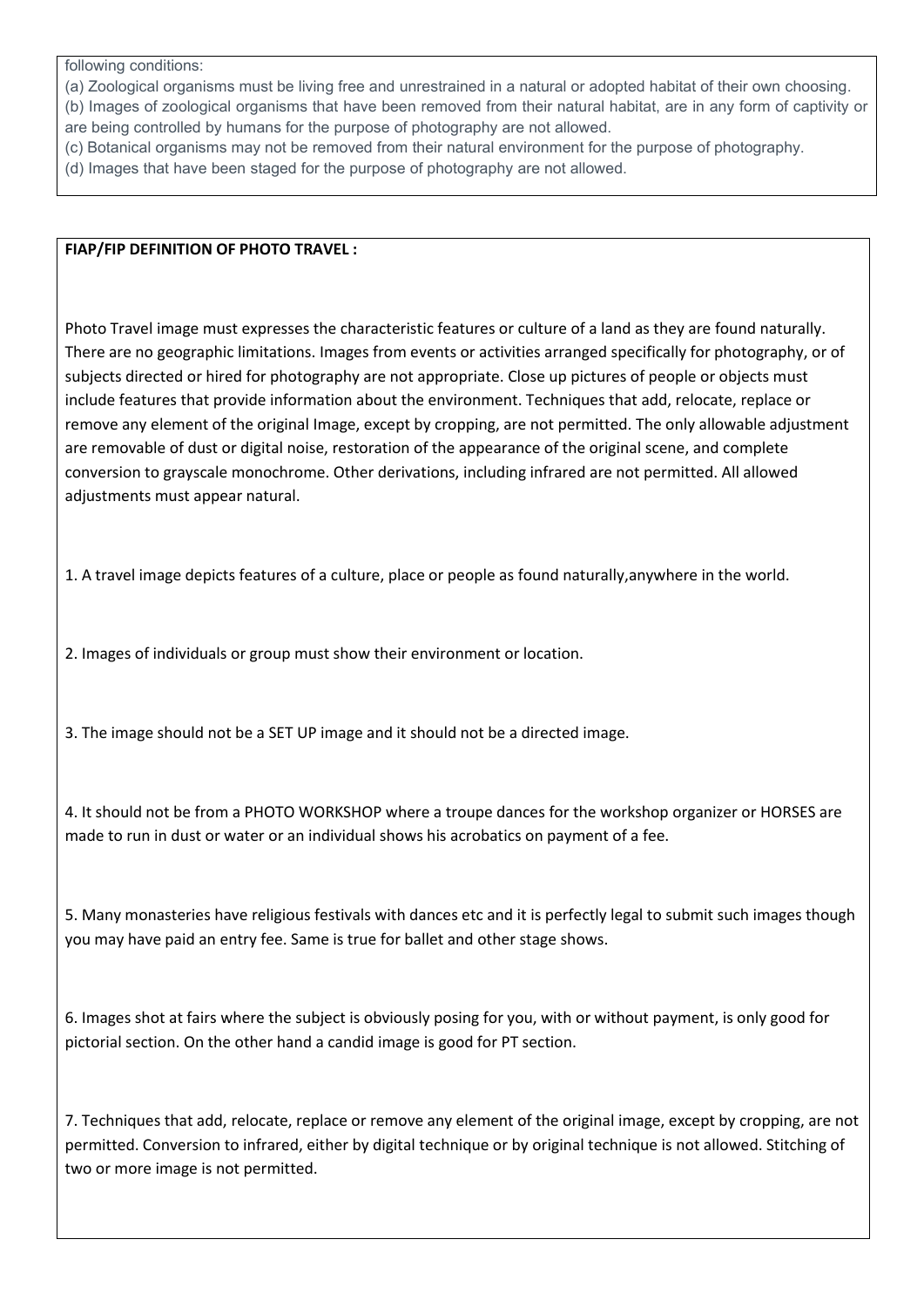following conditions:

(a) Zoological organisms must be living free and unrestrained in a natural or adopted habitat of their own choosing.

(b) Images of zoological organisms that have been removed from their natural habitat, are in any form of captivity or are being controlled by humans for the purpose of photography are not allowed.

(c) Botanical organisms may not be removed from their natural environment for the purpose of photography.

(d) Images that have been staged for the purpose of photography are not allowed.

#### **FIAP/FIP DEFINITION OF PHOTO TRAVEL :**

Photo Travel image must expresses the characteristic features or culture of a land as they are found naturally. There are no geographic limitations. Images from events or activities arranged specifically for photography, or of subjects directed or hired for photography are not appropriate. Close up pictures of people or objects must include features that provide information about the environment. Techniques that add, relocate, replace or remove any element of the original Image, except by cropping, are not permitted. The only allowable adjustment are removable of dust or digital noise, restoration of the appearance of the original scene, and complete conversion to grayscale monochrome. Other derivations, including infrared are not permitted. All allowed adjustments must appear natural.

1. A travel image depicts features of a culture, place or people as found naturally,anywhere in the world.

2. Images of individuals or group must show their environment or location.

3. The image should not be a SET UP image and it should not be a directed image.

4. It should not be from a PHOTO WORKSHOP where a troupe dances for the workshop organizer or HORSES are made to run in dust or water or an individual shows his acrobatics on payment of a fee.

5. Many monasteries have religious festivals with dances etc and it is perfectly legal to submit such images though you may have paid an entry fee. Same is true for ballet and other stage shows.

6. Images shot at fairs where the subject is obviously posing for you, with or without payment, is only good for pictorial section. On the other hand a candid image is good for PT section.

7. Techniques that add, relocate, replace or remove any element of the original image, except by cropping, are not permitted. Conversion to infrared, either by digital technique or by original technique is not allowed. Stitching of two or more image is not permitted.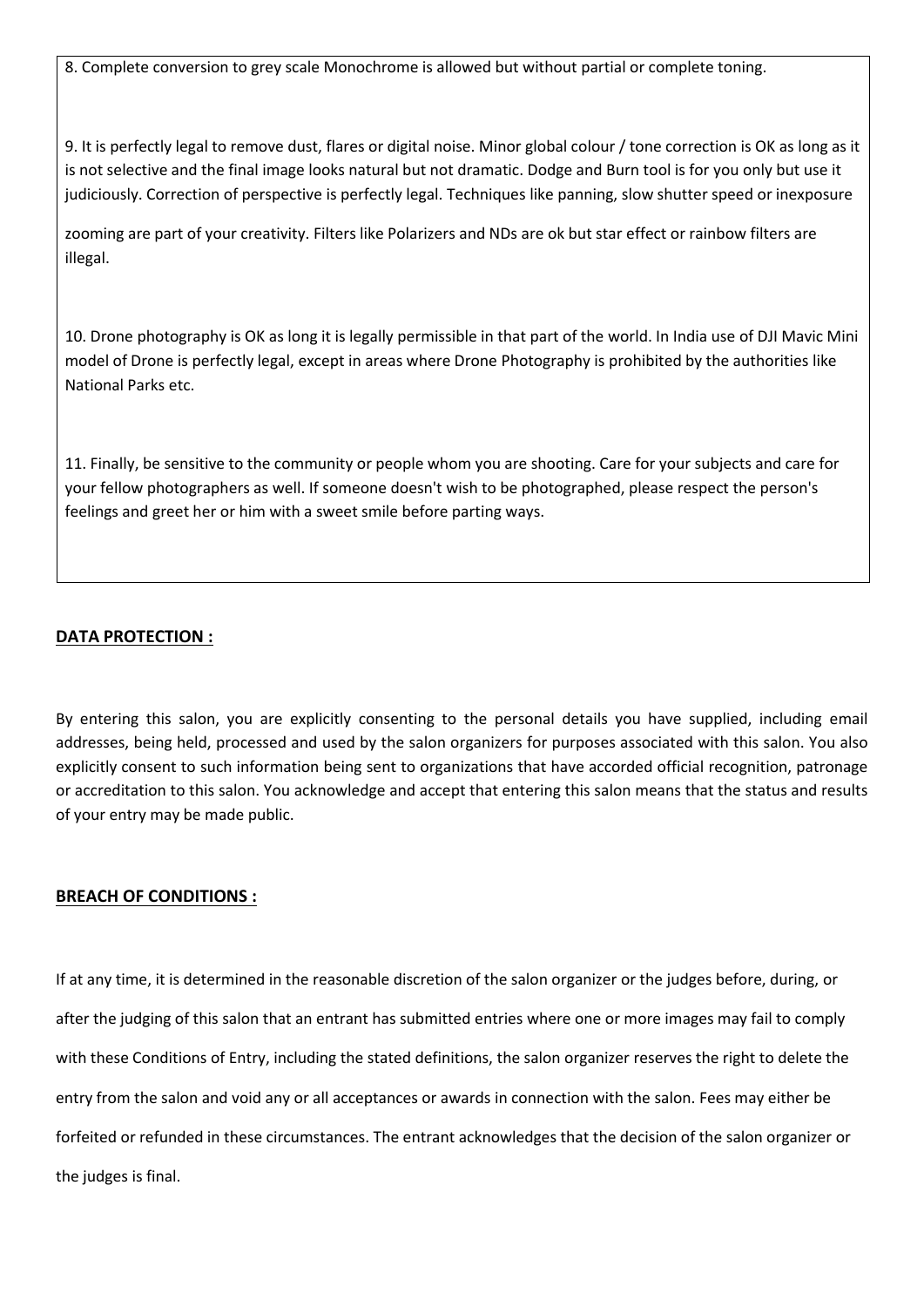8. Complete conversion to grey scale Monochrome is allowed but without partial or complete toning.

9. It is perfectly legal to remove dust, flares or digital noise. Minor global colour / tone correction is OK as long as it is not selective and the final image looks natural but not dramatic. Dodge and Burn tool is for you only but use it judiciously. Correction of perspective is perfectly legal. Techniques like panning, slow shutter speed or inexposure

zooming are part of your creativity. Filters like Polarizers and NDs are ok but star effect or rainbow filters are illegal.

10. Drone photography is OK as long it is legally permissible in that part of the world. In India use of DJI Mavic Mini model of Drone is perfectly legal, except in areas where Drone Photography is prohibited by the authorities like National Parks etc.

11. Finally, be sensitive to the community or people whom you are shooting. Care for your subjects and care for your fellow photographers as well. If someone doesn't wish to be photographed, please respect the person's feelings and greet her or him with a sweet smile before parting ways.

#### **DATA PROTECTION :**

By entering this salon, you are explicitly consenting to the personal details you have supplied, including email addresses, being held, processed and used by the salon organizers for purposes associated with this salon. You also explicitly consent to such information being sent to organizations that have accorded official recognition, patronage or accreditation to this salon.You acknowledge and accept that entering this salon means that the status and results of your entry may be made public.

#### **BREACH OF CONDITIONS :**

If at any time, it is determined in the reasonable discretion of the salon organizer or the judges before, during, or after the judging of this salon that an entrant has submitted entries where one or more images may fail to comply with these Conditions of Entry, including the stated definitions, the salon organizer reserves the right to delete the entry from the salon and void any or all acceptances or awards in connection with the salon. Fees may either be forfeited or refunded in these circumstances. The entrant acknowledges that the decision of the salon organizer or the judges is final.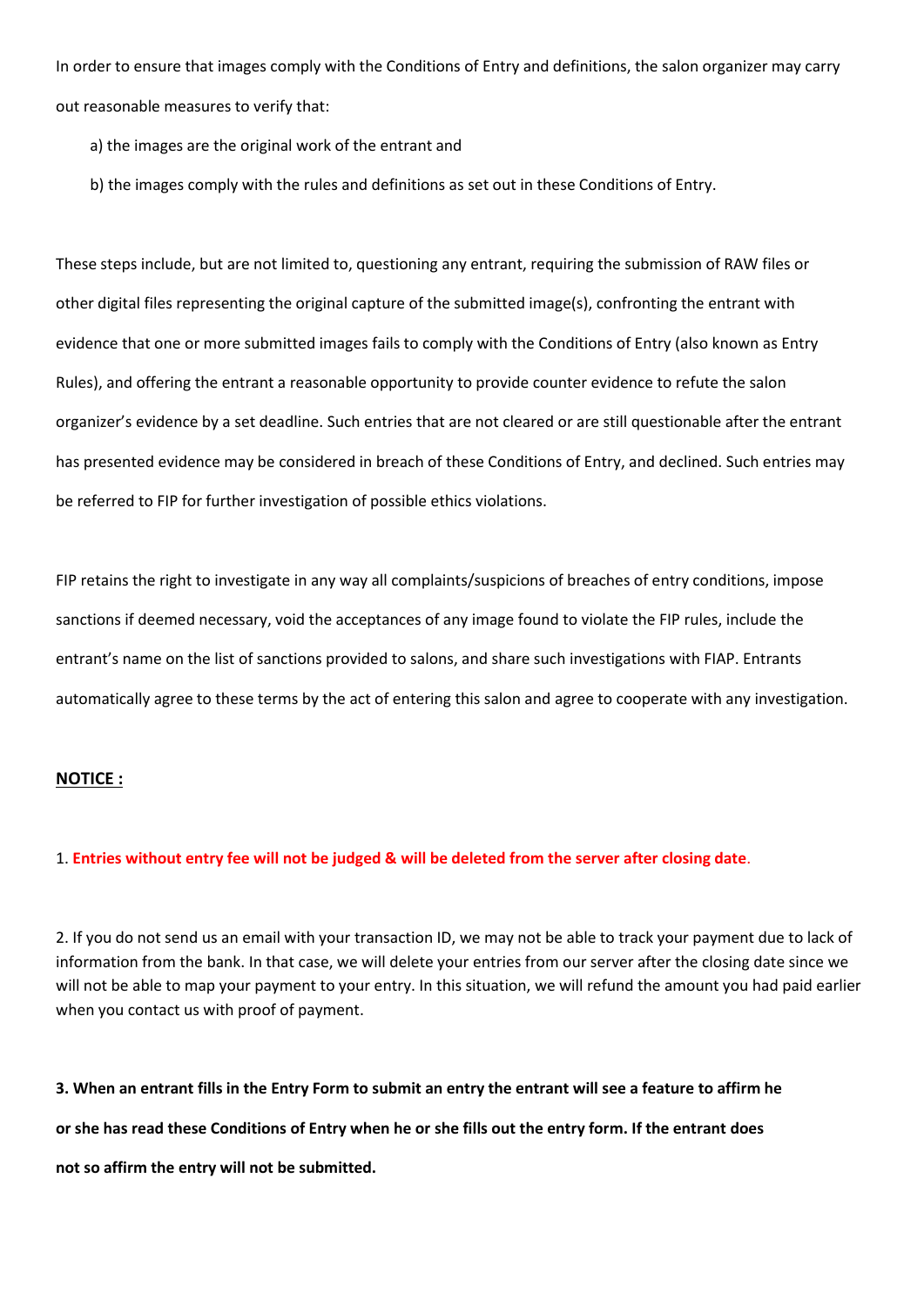In order to ensure that images comply with the Conditions of Entry and definitions, the salon organizer may carry out reasonable measures to verify that:

- a) the images are the original work of the entrant and
- b) the images comply with the rules and definitions as set out in these Conditions of Entry.

These steps include, but are not limited to, questioning any entrant, requiring the submission of RAW files or other digital files representing the original capture of the submitted image(s), confronting the entrant with evidence that one or more submitted images fails to comply with the Conditions of Entry (also known as Entry Rules), and offering the entrant a reasonable opportunity to provide counter evidence to refute the salon organizer's evidence by a set deadline. Such entries that are not cleared or are still questionable after the entrant has presented evidence may be considered in breach of these Conditions of Entry, and declined. Such entries may be referred to FIP for further investigation of possible ethics violations.

FIP retains the right to investigate in any way all complaints/suspicions of breaches of entry conditions, impose sanctions if deemed necessary, void the acceptances of any image found to violate the FIP rules, include the entrant's name on the list of sanctions provided to salons, and share such investigations with FIAP. Entrants automatically agree to these terms by the act of entering this salon and agree to cooperate with any investigation.

#### **NOTICE :**

#### 1. **Entries without entry fee will not be judged & will be deleted from the serverafter closing date**.

2. If you do not send us an email with your transaction ID, we may not be able to track your payment due to lack of information from the bank. In that case, we will delete your entries from our server after the closing date since we will not be able to map your payment to your entry. In this situation, we will refund the amount you had paid earlier when you contact us with proof of payment.

3. When an entrant fills in the Entry Form to submit an entry the entrant will see a feature to affirm he or she has read these Conditions of Entry when he or she fills out the entry form. If the entrant does **not so affirm the entry will not be submitted.**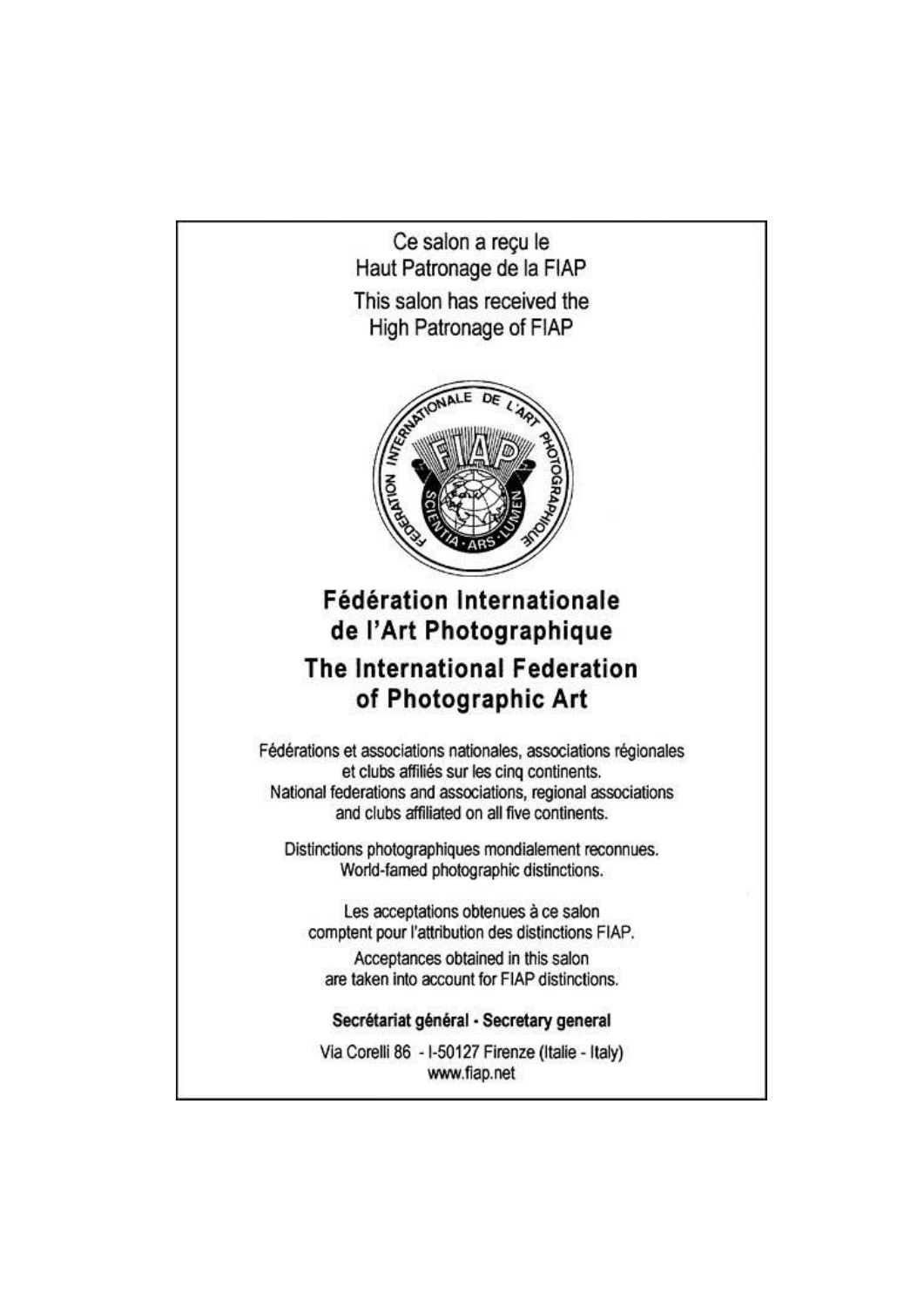